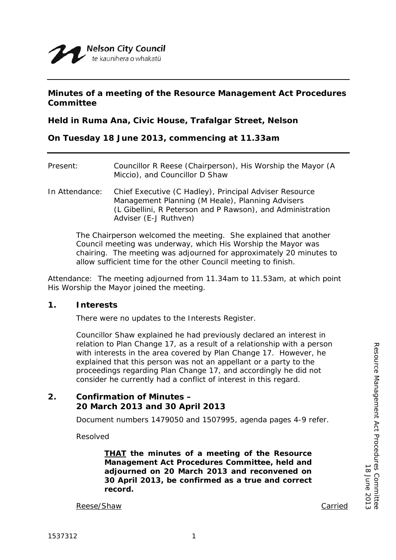### **Minutes of a meeting of the Resource Management Act Procedures Committee**

**Held in Ruma Ana, Civic House, Trafalgar Street, Nelson**

### **On Tuesday 18 June 2013, commencing at 11.33am**

| Present:       | Councillor R Reese (Chairperson), His Worship the Mayor (A<br>Miccio), and Councillor D Shaw                                                                                                      |
|----------------|---------------------------------------------------------------------------------------------------------------------------------------------------------------------------------------------------|
| In Attendance: | Chief Executive (C Hadley), Principal Adviser Resource<br>Management Planning (M Heale), Planning Advisers<br>(L Gibellini, R Peterson and P Rawson), and Administration<br>Adviser (E-J Ruthven) |

The Chairperson welcomed the meeting. She explained that another Council meeting was underway, which His Worship the Mayor was chairing. The meeting was adjourned for approximately 20 minutes to allow sufficient time for the other Council meeting to finish.

Attendance: The meeting adjourned from 11.34am to 11.53am, at which point His Worship the Mayor joined the meeting.

### **1. Interests**

There were no updates to the Interests Register.

Councillor Shaw explained he had previously declared an interest in relation to Plan Change 17, as a result of a relationship with a person with interests in the area covered by Plan Change 17. However, he explained that this person was not an appellant or a party to the proceedings regarding Plan Change 17, and accordingly he did not consider he currently had a conflict of interest in this regard.

# **2. Confirmation of Minutes – 20 March 2013 and 30 April 2013**

Document numbers 1479050 and 1507995, agenda pages 4-9 refer.

Resolved

*THAT the minutes of a meeting of the Resource Management Act Procedures Committee, held and adjourned on 20 March 2013 and reconvened on 30 April 2013, be confirmed as a true and correct record.*

Reese/Shaw Carried Carried Carried Carried Carried Carried Carried Carried Carried Carried Carried Carried Carried Carried Carried Carried Carried Carried Carried Carried Carried Carried Carried Carried Carried Carried Car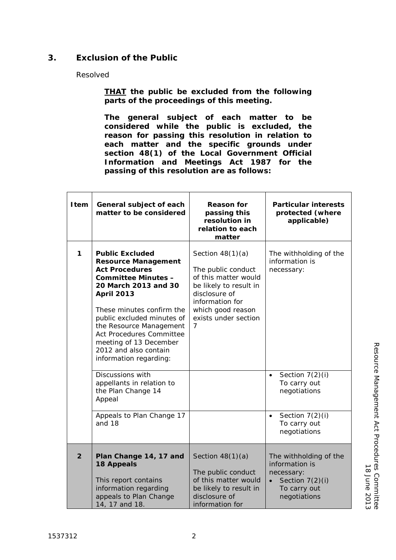# **3. Exclusion of the Public**

### Resolved

*THAT the public be excluded from the following parts of the proceedings of this meeting.*

*The general subject of each matter to be considered while the public is excluded, the reason for passing this resolution in relation to each matter and the specific grounds under section 48(1) of the Local Government Official Information and Meetings Act 1987 for the passing of this resolution are as follows:*

| Item           | General subject of each<br>matter to be considered                                                                                                                                                                                                                                                                                                             | <b>Reason for</b><br>passing this<br>resolution in<br>relation to each<br>matter                                                                                                 | <b>Particular interests</b><br>protected (where<br>applicable)                                                           |
|----------------|----------------------------------------------------------------------------------------------------------------------------------------------------------------------------------------------------------------------------------------------------------------------------------------------------------------------------------------------------------------|----------------------------------------------------------------------------------------------------------------------------------------------------------------------------------|--------------------------------------------------------------------------------------------------------------------------|
| 1              | <b>Public Excluded</b><br><b>Resource Management</b><br><b>Act Procedures</b><br><b>Committee Minutes -</b><br>20 March 2013 and 30<br><b>April 2013</b><br>These minutes confirm the<br>public excluded minutes of<br>the Resource Management<br><b>Act Procedures Committee</b><br>meeting of 13 December<br>2012 and also contain<br>information regarding: | Section $48(1)(a)$<br>The public conduct<br>of this matter would<br>be likely to result in<br>disclosure of<br>information for<br>which good reason<br>exists under section<br>7 | The withholding of the<br>information is<br>necessary:                                                                   |
|                | Discussions with<br>appellants in relation to<br>the Plan Change 14<br>Appeal                                                                                                                                                                                                                                                                                  |                                                                                                                                                                                  | Section $7(2)(i)$<br>$\bullet$<br>To carry out<br>negotiations                                                           |
|                | Appeals to Plan Change 17<br>and 18                                                                                                                                                                                                                                                                                                                            |                                                                                                                                                                                  | Section 7(2)(i)<br>$\bullet$<br>To carry out<br>negotiations                                                             |
| $\overline{2}$ | Plan Change 14, 17 and<br><b>18 Appeals</b><br>This report contains<br>information regarding<br>appeals to Plan Change<br>14, 17 and 18.                                                                                                                                                                                                                       | Section $48(1)(a)$<br>The public conduct<br>of this matter would<br>be likely to result in<br>disclosure of<br>information for                                                   | The withholding of the<br>information is<br>necessary:<br>Section $7(2)(i)$<br>$\bullet$<br>To carry out<br>negotiations |